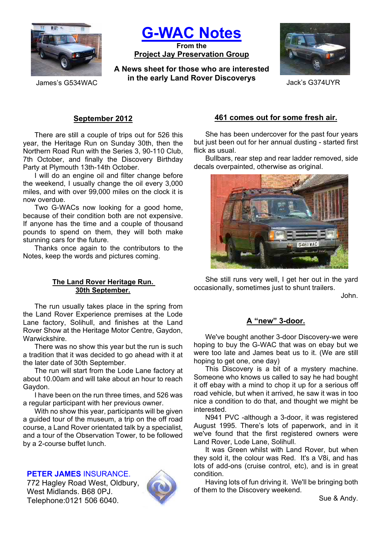

**G-WAC Notes**

**From the Project Jay Preservation Group**

**A News sheet for those who are interested in the early Land Rover Discoverys** James's G534WAC Jack's G374UYR



# **September 2012**

There are still a couple of trips out for 526 this year, the Heritage Run on Sunday 30th, then the Northern Road Run with the Series 3, 90-110 Club, 7th October, and finally the Discovery Birthday Party at Plymouth 13th-14th October.

I will do an engine oil and filter change before the weekend, I usually change the oil every 3,000 miles, and with over 99,000 miles on the clock it is now overdue.

Two G-WACs now looking for a good home, because of their condition both are not expensive. If anyone has the time and a couple of thousand pounds to spend on them, they will both make stunning cars for the future.

Thanks once again to the contributors to the Notes, keep the words and pictures coming.

### **The Land Rover Heritage Run. 30th September.**

The run usually takes place in the spring from the Land Rover Experience premises at the Lode Lane factory, Solihull, and finishes at the Land Rover Show at the Heritage Motor Centre, Gaydon, Warwickshire.

There was no show this year but the run is such a tradition that it was decided to go ahead with it at the later date of 30th September.

The run will start from the Lode Lane factory at about 10.00am and will take about an hour to reach Gaydon.

I have been on the run three times, and 526 was a regular participant with her previous owner.

With no show this year, participants will be given a guided tour of the museum, a trip on the off road course, a Land Rover orientated talk by a specialist, and a tour of the Observation Tower, to be followed by a 2-course buffet lunch.

# **PETER JAMES** INSURANCE.

772 Hagley Road West, Oldbury, West Midlands. B68 0PJ. Telephone:0121 506 6040.



### **461 comes out for some fresh air.**

She has been undercover for the past four years but just been out for her annual dusting - started first flick as usual.

Bullbars, rear step and rear ladder removed, side decals overpainted, otherwise as original.



She still runs very well, I get her out in the yard occasionally, sometimes just to shunt trailers.

John.

### **A "new" 3-door.**

We've bought another 3-door Discovery-we were hoping to buy the G-WAC that was on ebay but we were too late and James beat us to it. (We are still hoping to get one, one day)

This Discovery is a bit of a mystery machine. Someone who knows us called to say he had bought it off ebay with a mind to chop it up for a serious off road vehicle, but when it arrived, he saw it was in too nice a condition to do that, and thought we might be interested.

N941 PVC -although a 3-door, it was registered August 1995. There's lots of paperwork, and in it we've found that the first registered owners were Land Rover, Lode Lane, Solihull.

It was Green whilst with Land Rover, but when they sold it, the colour was Red. It's a V8i, and has lots of add-ons (cruise control, etc), and is in great condition.

Having lots of fun driving it. We'll be bringing both of them to the Discovery weekend.

Sue & Andy.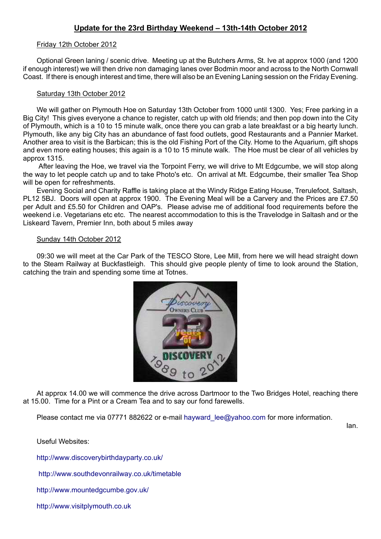# **Update for the 23rd Birthday Weekend – 13th-14th October 2012**

#### Friday 12th October 2012

Optional Green laning / scenic drive. Meeting up at the Butchers Arms, St. Ive at approx 1000 (and 1200 if enough interest) we will then drive non damaging lanes over Bodmin moor and across to the North Cornwall Coast. If there is enough interest and time, there will also be an Evening Laning session on the Friday Evening.

#### Saturday 13th October 2012

We will gather on Plymouth Hoe on Saturday 13th October from 1000 until 1300. Yes; Free parking in a Big City! This gives everyone a chance to register, catch up with old friends; and then pop down into the City of Plymouth, which is a 10 to 15 minute walk, once there you can grab a late breakfast or a big hearty lunch. Plymouth, like any big City has an abundance of fast food outlets, good Restaurants and a Pannier Market. Another area to visit is the Barbican; this is the old Fishing Port of the City. Home to the Aquarium, gift shops and even more eating houses; this again is a 10 to 15 minute walk. The Hoe must be clear of all vehicles by approx 1315.

After leaving the Hoe, we travel via the Torpoint Ferry, we will drive to Mt Edgcumbe, we will stop along the way to let people catch up and to take Photo's etc. On arrival at Mt. Edgcumbe, their smaller Tea Shop will be open for refreshments.

Evening Social and Charity Raffle is taking place at the Windy Ridge Eating House, Trerulefoot, Saltash, PL12 5BJ. Doors will open at approx 1900. The Evening Meal will be a Carvery and the Prices are £7.50 per Adult and £5.50 for Children and OAP's. Please advise me of additional food requirements before the weekend i.e. Vegetarians etc etc. The nearest accommodation to this is the Travelodge in Saltash and or the Liskeard Tavern, Premier Inn, both about 5 miles away

#### Sunday 14th October 2012

09:30 we will meet at the Car Park of the TESCO Store, Lee Mill, from here we will head straight down to the Steam Railway at Buckfastleigh. This should give people plenty of time to look around the Station, catching the train and spending some time at Totnes.



At approx 14.00 we will commence the drive across Dartmoor to the Two Bridges Hotel, reaching there at 15.00. Time for a Pint or a Cream Tea and to say our fond farewells.

Please contact me via 07771 882622 or e-mail hayward lee@yahoo.com for more information.

Ian.

Useful Websites:

http://www.discoverybirthdayparty.co.uk/

http://www.southdevonrailway.co.uk/timetable

http://www.mountedgcumbe.gov.uk/

http://www.visitplymouth.co.uk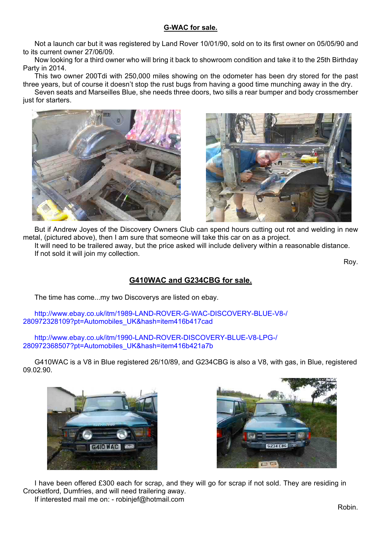# **G-WAC for sale.**

Not a launch car but it was registered by Land Rover 10/01/90, sold on to its first owner on 05/05/90 and to its current owner 27/06/09.

Now looking for a third owner who will bring it back to showroom condition and take it to the 25th Birthday Party in 2014.

This two owner 200Tdi with 250,000 miles showing on the odometer has been dry stored for the past three years, but of course it doesn't stop the rust bugs from having a good time munching away in the dry.

Seven seats and Marseilles Blue, she needs three doors, two sills a rear bumper and body crossmember just for starters.





But if Andrew Joyes of the Discovery Owners Club can spend hours cutting out rot and welding in new metal, (pictured above), then I am sure that someone will take this car on as a project. It will need to be trailered away, but the price asked will include delivery within a reasonable distance. If not sold it will join my collection.

Roy.

# **G410WAC and G234CBG for sale.**

The time has come...my two Discoverys are listed on ebay.

http://www.ebay.co.uk/itm/1989-LAND-ROVER-G-WAC-DISCOVERY-BLUE-V8-/ 280972328109?pt=Automobiles\_UK&hash=item416b417cad

http://www.ebay.co.uk/itm/1990-LAND-ROVER-DISCOVERY-BLUE-V8-LPG-/ 280972368507?pt=Automobiles\_UK&hash=item416b421a7b

G410WAC is a V8 in Blue registered 26/10/89, and G234CBG is also a V8, with gas, in Blue, registered 09.02.90.





I have been offered £300 each for scrap, and they will go for scrap if not sold. They are residing in Crocketford, Dumfries, and will need trailering away. If interested mail me on: - robinjef@hotmail.com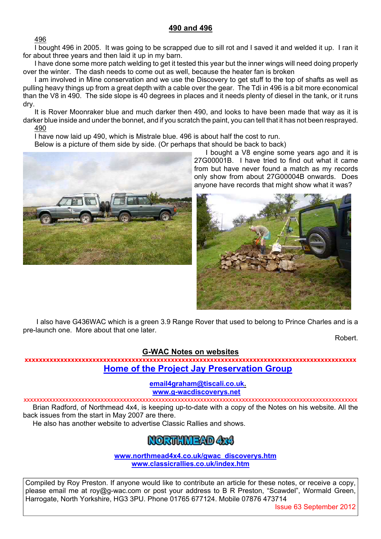# **490 and 496**

496

I bought 496 in 2005. It was going to be scrapped due to sill rot and I saved it and welded it up. I ran it for about three years and then laid it up in my barn.

I have done some more patch welding to get it tested this year but the inner wings will need doing properly over the winter. The dash needs to come out as well, because the heater fan is broken

I am involved in Mine conservation and we use the Discovery to get stuff to the top of shafts as well as pulling heavy things up from a great depth with a cable over the gear. The Tdi in 496 is a bit more economical than the V8 in 490. The side slope is 40 degrees in places and it needs plenty of diesel in the tank, or it runs dry.

It is Rover Moonraker blue and much darker then 490, and looks to have been made that way as it is darker blue inside and under the bonnet, and if you scratch the paint, you can tell that it has not been resprayed. 490

I have now laid up 490, which is Mistrale blue. 496 is about half the cost to run.

Below is a picture of them side by side. (Or perhaps that should be back to back)



I bought a V8 engine some years ago and it is 27G00001B. I have tried to find out what it came from but have never found a match as my records only show from about 27G00004B onwards. Does anyone have records that might show what it was?



 I also have G436WAC which is a green 3.9 Range Rover that used to belong to Prince Charles and is a pre-launch one. More about that one later.

Robert.

### **G-WAC Notes on websites**

**xxxxxxxxxxxxxxxxxxxxxxxxxxxxxxxxxxxxxxxxxxxxxxxxxxxxxxxxxxxxxxxxxxxxxxxxxxxxxxxxxxxxxxxxxxxxx Home of the Project Jay Preservation Group**

**email4graham@tiscali.co.uk.**

 **www.g-wacdiscoverys.net**

xxxxxxxxxxxxxxxxxxxxxxxxxxxxxxxxxxxxxxxxxxxxxxxxxxxxxxxxxxxxxxxxxxxxxxxxxxxxxxxxxxxxxxxxxxxxxxxxxxxxxxxx Brian Radford, of Northmead 4x4, is keeping up-to-date with a copy of the Notes on his website. All the back issues from the start in May 2007 are there.

He also has another website to advertise Classic Rallies and shows.

# NORTHMEAD ARA

**www.northmead4x4.co.uk/gwac\_discoverys.htm www.classicrallies.co.uk/index.htm**

Compiled by Roy Preston. If anyone would like to contribute an article for these notes, or receive a copy, please email me at roy@g-wac.com or post your address to B R Preston, "Scawdel", Wormald Green, Harrogate, North Yorkshire, HG3 3PU. Phone 01765 677124. Mobile 07876 473714

Issue 63 September 2012